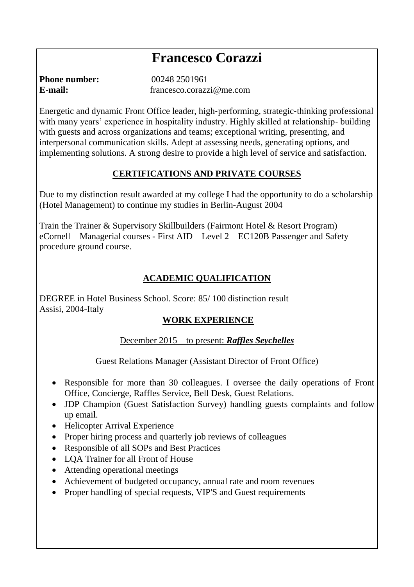# **Francesco Corazzi**

**Phone number:** 00248 2501961 **E-mail:** francesco.corazzi@me.com

Energetic and dynamic Front Office leader, high‐performing, strategic‐thinking professional with many years' experience in hospitality industry. Highly skilled at relationship-building with guests and across organizations and teams; exceptional writing, presenting, and interpersonal communication skills. Adept at assessing needs, generating options, and implementing solutions. A strong desire to provide a high level of service and satisfaction.

#### **CERTIFICATIONS AND PRIVATE COURSES**

Due to my distinction result awarded at my college I had the opportunity to do a scholarship (Hotel Management) to continue my studies in Berlin-August 2004

Train the Trainer & Supervisory Skillbuilders (Fairmont Hotel & Resort Program) eCornell – Managerial courses - First AID – Level 2 – EC120B Passenger and Safety procedure ground course.

#### **ACADEMIC QUALIFICATION**

DEGREE in Hotel Business School. Score: 85/ 100 distinction result Assisi, 2004-Italy

#### **WORK EXPERIENCE**

December 2015 – to present: *Raffles Seychelles*

Guest Relations Manager (Assistant Director of Front Office)

- Responsible for more than 30 colleagues. I oversee the daily operations of Front Office, Concierge, Raffles Service, Bell Desk, Guest Relations.
- JDP Champion (Guest Satisfaction Survey) handling guests complaints and follow up email.
- Helicopter Arrival Experience
- Proper hiring process and quarterly job reviews of colleagues
- Responsible of all SOPs and Best Practices
- LQA Trainer for all Front of House
- Attending operational meetings
- Achievement of budgeted occupancy, annual rate and room revenues
- Proper handling of special requests, VIP'S and Guest requirements